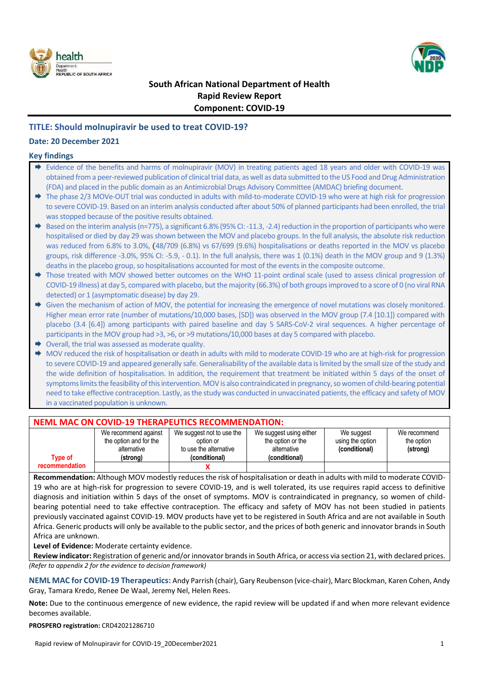



# **South African National Department of Health Rapid Review Report Component: COVID-19**

## **TITLE: Should molnupiravir be used to treat COVID-19?**

## **Date: 20 December 2021**

### **Key findings**

- Evidence of the benefits and harms of molnupiravir (MOV) in treating patients aged 18 years and older with COVID-19 was obtained from a peer-reviewed publication of clinical trial data, as well as data submitted to the US Food and Drug Administration (FDA) and placed in the public domain as an Antimicrobial Drugs Advisory Committee (AMDAC) briefing document.
- → The phase 2/3 MOVe-OUT trial was conducted in adults with mild-to-moderate COVID-19 who were at high risk for progression to severe COVID-19. Based on an interim analysis conducted after about 50% of planned participants had been enrolled, the trial was stopped because of the positive results obtained.
- $\triangleq$  Based on the interim analysis (n=775), a significant 6.8% (95% CI: -11.3, -2.4) reduction in the proportion of participants who were hospitalised or died by day 29 was shown between the MOV and placebo groups. In the full analysis, the absolute risk reduction was reduced from 6.8% to 3.0%, (48/709 (6.8%) vs 67/699 (9.6%) hospitalisations or deaths reported in the MOV vs placebo groups, risk difference -3.0%, 95% CI: -5.9, - 0.1). In the full analysis, there was 1 (0.1%) death in the MOV group and 9 (1.3%) deaths in the placebo group, so hospitalisations accounted for most of the events in the composite outcome.
- → Those treated with MOV showed better outcomes on the WHO 11-point ordinal scale (used to assess clinical progression of COVID-19 illness) at day 5, compared with placebo, but the majority (66.3%) of both groups improved to a score of 0 (no viral RNA detected) or 1 (asymptomatic disease) by day 29.
- Given the mechanism of action of MOV, the potential for increasing the emergence of novel mutations was closely monitored. Higher mean error rate (number of mutations/10,000 bases, [SD]) was observed in the MOV group (7.4 [10.1]) compared with placebo (3.4 [6.4]) among participants with paired baseline and day 5 SARS-CoV-2 viral sequences. A higher percentage of participants in the MOV group had >3, >6, or >9 mutations/10,000 bases at day 5 compared with placebo.
- $\rightarrow$  Overall, the trial was assessed as moderate quality.
- → MOV reduced the risk of hospitalisation or death in adults with mild to moderate COVID-19 who are at high-risk for progression to severe COVID-19 and appeared generally safe. Generalisability of the available data is limited by the small size of the study and the wide definition of hospitalisation. In addition, the requirement that treatment be initiated within 5 days of the onset of symptoms limits the feasibility of this intervention. MOV is also contraindicated in pregnancy, so women of child-bearing potential need to take effective contraception. Lastly, as the study was conducted in unvaccinated patients, the efficacy and safety of MOV in a vaccinated population is unknown.

## **NEML MAC ON COVID-19 THERAPEUTICS RECOMMENDATION:**

| Tvpe of        | We recommend against<br>the option and for the<br>alternative<br>(strong) | We suggest not to use the<br>option or<br>to use the alternative<br>(conditional) | We suggest using either<br>the option or the<br>alternative<br>(conditional) | We suggest<br>using the option<br>(conditional) | We recommend<br>the option<br>(strong) |
|----------------|---------------------------------------------------------------------------|-----------------------------------------------------------------------------------|------------------------------------------------------------------------------|-------------------------------------------------|----------------------------------------|
| recommendation |                                                                           |                                                                                   |                                                                              |                                                 |                                        |

**Recommendation:** Although MOV modestly reduces the risk of hospitalisation or death in adults with mild to moderate COVID-19 who are at high-risk for progression to severe COVID-19, and is well tolerated, its use requires rapid access to definitive diagnosis and initiation within 5 days of the onset of symptoms. MOV is contraindicated in pregnancy, so women of childbearing potential need to take effective contraception. The efficacy and safety of MOV has not been studied in patients previously vaccinated against COVID-19. MOV products have yet to be registered in South Africa and are not available in South Africa. Generic products will only be available to the public sector, and the prices of both generic and innovator brands in South Africa are unknown.

**Level of Evidence:** Moderate certainty evidence.

**Review indicator:** Registration of generic and/or innovator brands in South Africa, or access via section 21, with declared prices. *(Refer to appendix 2 for the evidence to decision framework)*

**NEML MAC for COVID-19 Therapeutics:** Andy Parrish (chair), Gary Reubenson (vice-chair), Marc Blockman, Karen Cohen, Andy Gray, Tamara Kredo, Renee De Waal, Jeremy Nel, Helen Rees.

**Note:** Due to the continuous emergence of new evidence, the rapid review will be updated if and when more relevant evidence becomes available.

**PROSPERO registration:** CRD42021286710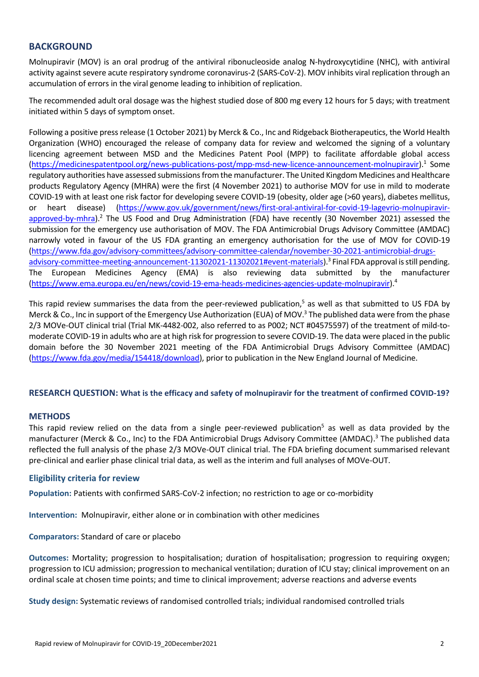## **BACKGROUND**

Molnupiravir (MOV) is an oral prodrug of the antiviral ribonucleoside analog N-hydroxycytidine (NHC), with antiviral activity against severe acute respiratory syndrome coronavirus-2 (SARS-CoV-2). MOV inhibits viral replication through an accumulation of errors in the viral genome leading to inhibition of replication.

The recommended adult oral dosage was the highest studied dose of 800 mg every 12 hours for 5 days; with treatment initiated within 5 days of symptom onset.

Following a positive press release (1 October 2021) by Merck & Co., Inc and Ridgeback Biotherapeutics, the World Health Organization (WHO) encouraged the release of company data for review and welcomed the signing of a voluntary licencing agreement between MSD and the Medicines Patent Pool (MPP) to facilitate affordable global access (https://medicinespatentpool.org/news-publications-post/mpp-msd-new-licence-announcement-molnupiravir). 1 Some regulatory authorities have assessed submissions from the manufacturer. The United Kingdom Medicines and Healthcare products Regulatory Agency (MHRA) were the first (4 November 2021) to authorise MOV for use in mild to moderate COVID-19 with at least one risk factor for developing severe COVID-19 (obesity, older age (>60 years), diabetes mellitus, or heart disease) (https://www.gov.uk/government/news/first-oral-antiviral-for-covid-19-lagevrio-molnupiravirapproved-by-mhra).<sup>2</sup> The US Food and Drug Administration (FDA) have recently (30 November 2021) assessed the submission for the emergency use authorisation of MOV. The FDA Antimicrobial Drugs Advisory Committee (AMDAC) narrowly voted in favour of the US FDA granting an emergency authorisation for the use of MOV for COVID-19 (https://www.fda.gov/advisory-committees/advisory-committee-calendar/november-30-2021-antimicrobial-drugsadvisory-committee-meeting-announcement-11302021-11302021#event-materials).<sup>3</sup> Final FDA approval is still pending. The European Medicines Agency (EMA) is also reviewing data submitted by the manufacturer (https://www.ema.europa.eu/en/news/covid-19-ema-heads-medicines-agencies-update-molnupiravir). 4

<span id="page-1-0"></span>This rapid review summarises the data from the peer-reviewed publication,<sup>5</sup> as well as that submitted to US FDA by Merck & Co., Inc in support of the Emergency Use Authorization (EUA) of MOV.<sup>3</sup> The published data were from the phase 2/3 MOVe-OUT clinical trial (Trial MK-4482-002, also referred to as P002; NCT #04575597) of the treatment of mild-tomoderate COVID-19 in adults who are at high risk for progression to severe COVID-19. The data were placed in the public domain before the 30 November 2021 meeting of the FDA Antimicrobial Drugs Advisory Committee (AMDAC) [\(https://www.fda.gov/media/154418/download\)](https://www.fda.gov/media/154418/download), prior to publication in the New England Journal of Medicine.

### **RESEARCH QUESTION: What is the efficacy and safety of molnupiravir for the treatment of confirmed COVID-19?**

### **METHODS**

This rapid review relied on the data from a single peer-reviewed publication<sup>5</sup> as well as data provided by the manufacturer (Merck & Co., Inc) to the FDA Antimicrobial Drugs Advisory Committee (AMDAC).<sup>3</sup> The published data reflected the full analysis of the phase 2/3 MOVe-OUT clinical trial. The FDA briefing document summarised relevant pre-clinical and earlier phase clinical trial data, as well as the interim and full analyses of MOVe-OUT.

### **Eligibility criteria for review**

**Population:** Patients with confirmed SARS-CoV-2 infection; no restriction to age or co-morbidity

**Intervention:** Molnupiravir, either alone or in combination with other medicines

### **Comparators:** Standard of care or placebo

**Outcomes:** Mortality; progression to hospitalisation; duration of hospitalisation; progression to requiring oxygen; progression to ICU admission; progression to mechanical ventilation; duration of ICU stay; clinical improvement on an ordinal scale at chosen time points; and time to clinical improvement; adverse reactions and adverse events

**Study design:** Systematic reviews of randomised controlled trials; individual randomised controlled trials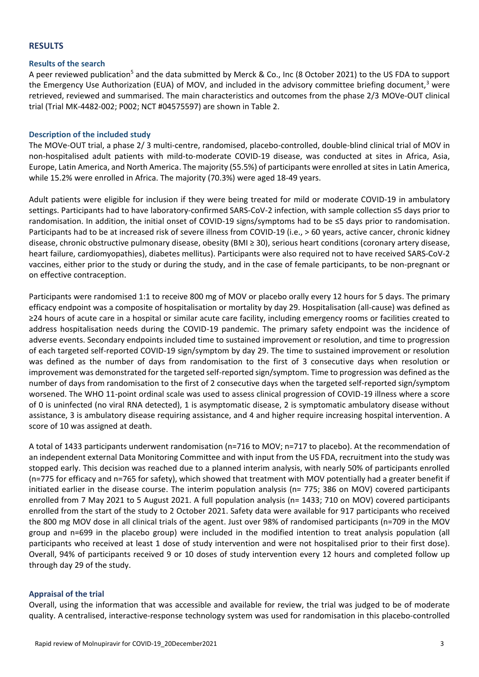### **RESULTS**

#### **Results of the search**

A peer reviewed publicatio[n](#page-1-0)<sup>5</sup> and the data submitted by Merck & Co., Inc (8 October 2021) to the US FDA to support the Emergency Use Authorization (EUA) of MOV, and included in the advisory committee briefing document,<sup>3</sup> were retrieved, reviewed and summarised. The main characteristics and outcomes from the phase 2/3 MOVe-OUT clinical trial (Trial MK-4482-002; P002; NCT #04575597) are shown in Table 2.

#### **Description of the included study**

The MOVe-OUT trial, a phase 2/ 3 multi-centre, randomised, placebo-controlled, double-blind clinical trial of MOV in non-hospitalised adult patients with mild-to-moderate COVID-19 disease, was conducted at sites in Africa, Asia, Europe, Latin America, and North America. The majority (55.5%) of participants were enrolled at sites in Latin America, while 15.2% were enrolled in Africa. The majority (70.3%) were aged 18-49 years.

Adult patients were eligible for inclusion if they were being treated for mild or moderate COVID-19 in ambulatory settings. Participants had to have laboratory-confirmed SARS-CoV-2 infection, with sample collection ≤5 days prior to randomisation. In addition, the initial onset of COVID-19 signs/symptoms had to be ≤5 days prior to randomisation. Participants had to be at increased risk of severe illness from COVID-19 (i.e., > 60 years, active cancer, chronic kidney disease, chronic obstructive pulmonary disease, obesity (BMI ≥ 30), serious heart conditions (coronary artery disease, heart failure, cardiomyopathies), diabetes mellitus). Participants were also required not to have received SARS-CoV-2 vaccines, either prior to the study or during the study, and in the case of female participants, to be non-pregnant or on effective contraception.

Participants were randomised 1:1 to receive 800 mg of MOV or placebo orally every 12 hours for 5 days. The primary efficacy endpoint was a composite of hospitalisation or mortality by day 29. Hospitalisation (all-cause) was defined as ≥24 hours of acute care in a hospital or similar acute care facility, including emergency rooms or facilities created to address hospitalisation needs during the COVID-19 pandemic. The primary safety endpoint was the incidence of adverse events. Secondary endpoints included time to sustained improvement or resolution, and time to progression of each targeted self-reported COVID-19 sign/symptom by day 29. The time to sustained improvement or resolution was defined as the number of days from randomisation to the first of 3 consecutive days when resolution or improvement was demonstrated for the targeted self-reported sign/symptom. Time to progression was defined as the number of days from randomisation to the first of 2 consecutive days when the targeted self-reported sign/symptom worsened. The WHO 11-point ordinal scale was used to assess clinical progression of COVID-19 illness where a score of 0 is uninfected (no viral RNA detected), 1 is asymptomatic disease, 2 is symptomatic ambulatory disease without assistance, 3 is ambulatory disease requiring assistance, and 4 and higher require increasing hospital intervention. A score of 10 was assigned at death.

A total of 1433 participants underwent randomisation (n=716 to MOV; n=717 to placebo). At the recommendation of an independent external Data Monitoring Committee and with input from the US FDA, recruitment into the study was stopped early. This decision was reached due to a planned interim analysis, with nearly 50% of participants enrolled (n=775 for efficacy and n=765 for safety), which showed that treatment with MOV potentially had a greater benefit if initiated earlier in the disease course. The interim population analysis (n= 775; 386 on MOV) covered participants enrolled from 7 May 2021 to 5 August 2021. A full population analysis (n= 1433; 710 on MOV) covered participants enrolled from the start of the study to 2 October 2021. Safety data were available for 917 participants who received the 800 mg MOV dose in all clinical trials of the agent. Just over 98% of randomised participants (n=709 in the MOV group and n=699 in the placebo group) were included in the modified intention to treat analysis population (all participants who received at least 1 dose of study intervention and were not hospitalised prior to their first dose). Overall, 94% of participants received 9 or 10 doses of study intervention every 12 hours and completed follow up through day 29 of the study.

### **Appraisal of the trial**

Overall, using the information that was accessible and available for review, the trial was judged to be of moderate quality. A centralised, interactive-response technology system was used for randomisation in this placebo-controlled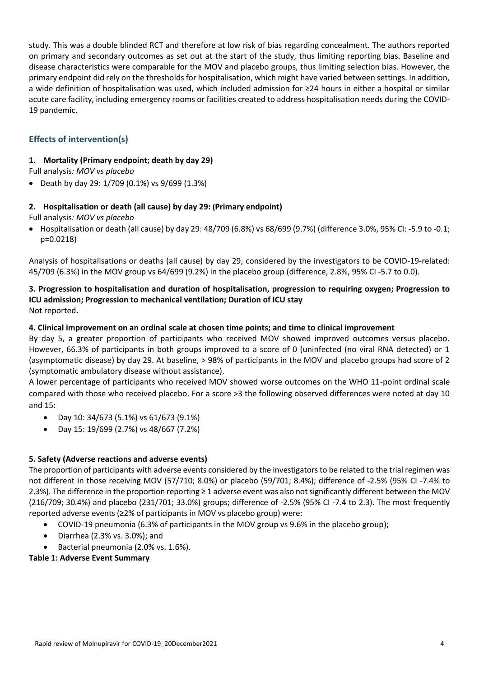study. This was a double blinded RCT and therefore at low risk of bias regarding concealment. The authors reported on primary and secondary outcomes as set out at the start of the study, thus limiting reporting bias. Baseline and disease characteristics were comparable for the MOV and placebo groups, thus limiting selection bias. However, the primary endpoint did rely on the thresholds for hospitalisation, which might have varied between settings. In addition, a wide definition of hospitalisation was used, which included admission for ≥24 hours in either a hospital or similar acute care facility, including emergency rooms or facilities created to address hospitalisation needs during the COVID-19 pandemic.

# **Effects of intervention(s)**

## **1. Mortality (Primary endpoint; death by day 29)**

Full analysis*: MOV vs placebo*

Death by day 29: 1/709 (0.1%) vs 9/699 (1.3%)

## **2. Hospitalisation or death (all cause) by day 29: (Primary endpoint)**

Full analysis*: MOV vs placebo*

 $\bullet$  Hospitalisation or death (all cause) by day 29: 48/709 (6.8%) vs 68/699 (9.7%) (difference 3.0%, 95% CI: -5.9 to -0.1; p=0.0218)

Analysis of hospitalisations or deaths (all cause) by day 29, considered by the investigators to be COVID-19-related: 45/709 (6.3%) in the MOV group vs 64/699 (9.2%) in the placebo group (difference, 2.8%, 95% CI -5.7 to 0.0).

## **3. Progression to hospitalisation and duration of hospitalisation, progression to requiring oxygen; Progression to ICU admission; Progression to mechanical ventilation; Duration of ICU stay** Not reported**.**

## **4. Clinical improvement on an ordinal scale at chosen time points; and time to clinical improvement**

By day 5, a greater proportion of participants who received MOV showed improved outcomes versus placebo. However, 66.3% of participants in both groups improved to a score of 0 (uninfected (no viral RNA detected) or 1 (asymptomatic disease) by day 29. At baseline, > 98% of participants in the MOV and placebo groups had score of 2 (symptomatic ambulatory disease without assistance).

A lower percentage of participants who received MOV showed worse outcomes on the WHO 11-point ordinal scale compared with those who received placebo. For a score >3 the following observed differences were noted at day 10 and 15:

- Day 10: 34/673 (5.1%) vs 61/673 (9.1%)
- Day 15: 19/699 (2.7%) vs 48/667 (7.2%)

## **5. Safety (Adverse reactions and adverse events)**

The proportion of participants with adverse events considered by the investigators to be related to the trial regimen was not different in those receiving MOV (57/710; 8.0%) or placebo (59/701; 8.4%); difference of -2.5% (95% CI -7.4% to 2.3%). The difference in the proportion reporting ≥ 1 adverse event was also not significantly different between the MOV (216/709; 30.4%) and placebo (231/701; 33.0%) groups; difference of -2.5% (95% CI -7.4 to 2.3). The most frequently reported adverse events (≥2% of participants in MOV vs placebo group) were:

- COVID-19 pneumonia (6.3% of participants in the MOV group vs 9.6% in the placebo group);
- Diarrhea (2.3% vs. 3.0%); and
- Bacterial pneumonia (2.0% vs. 1.6%).

## **Table 1: Adverse Event Summary**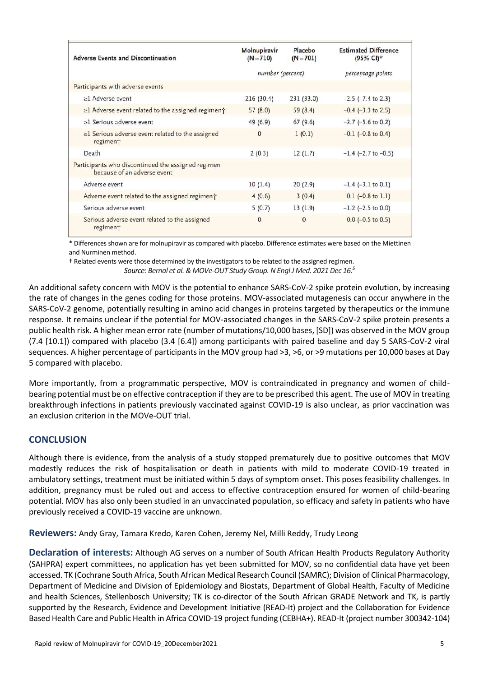| <b>Adverse Events and Discontinuation</b>                                         | Molnupiravir<br>$(N = 710)$ | Placebo<br>$(N = 701)$ | <b>Estimated Difference</b><br>(95% CI)* |
|-----------------------------------------------------------------------------------|-----------------------------|------------------------|------------------------------------------|
|                                                                                   | number (percent)            |                        | percentage points                        |
| Participants with adverse events                                                  |                             |                        |                                          |
| $\geq$ 1 Adverse event                                                            | 216(30.4)                   | 231(33.0)              | $-2.5$ ( $-7.4$ to 2.3)                  |
| $\geq$ 1 Adverse event related to the assigned regiment                           | 57(8.0)                     | 59(8.4)                | $-0.4$ ( $-3.3$ to 2.5)                  |
| $\geq$ 1 Serious adverse event                                                    | 49 (6.9)                    | 67(9.6)                | $-2.7$ ( $-5.6$ to 0.2)                  |
| $\geq$ 1 Serious adverse event related to the assigned<br>regiment                | $\mathbf{0}$                | 1(0.1)                 | $-0.1$ ( $-0.8$ to 0.4)                  |
| Death                                                                             | 2(0.3)                      | 12(1.7)                | $-1.4$ ( $-2.7$ to $-0.5$ )              |
| Participants who discontinued the assigned regimen<br>because of an adverse event |                             |                        |                                          |
| Adverse event                                                                     | 10(1.4)                     | 20(2.9)                | $-1.4$ ( $-3.1$ to 0.1)                  |
| Adverse event related to the assigned regiment                                    | 4(0.6)                      | 3(0.4)                 | $0.1$ (-0.8 to 1.1)                      |
| Serious adverse event                                                             | 5(0.7)                      | 13(1.9)                | $-1.2$ ( $-2.5$ to 0.0)                  |
| Serious adverse event related to the assigned<br>regiment                         | $\mathbf{O}$                | $\mathbf{0}$           | $0.0$ (-0.5 to 0.5)                      |

\* Differences shown are for molnupiravir as compared with placebo. Difference estimates were based on the Miettinen and Nurminen method.

† Related events were those determined by the investigators to be related to the assigned regimen. *Source: Bernal et al. & MOVe-OUT Study Group. N Engl J Med. 2021 Dec 1[6.](#page-1-0)<sup>5</sup>*

An additional safety concern with MOV is the potential to enhance SARS-CoV-2 spike protein evolution, by increasing the rate of changes in the genes coding for those proteins. MOV-associated mutagenesis can occur anywhere in the SARS-CoV-2 genome, potentially resulting in amino acid changes in proteins targeted by therapeutics or the immune response. It remains unclear if the potential for MOV-associated changes in the SARS-CoV-2 spike protein presents a public health risk. A higher mean error rate (number of mutations/10,000 bases, [SD]) was observed in the MOV group (7.4 [10.1]) compared with placebo (3.4 [6.4]) among participants with paired baseline and day 5 SARS-CoV-2 viral sequences. A higher percentage of participants in the MOV group had >3, >6, or >9 mutations per 10,000 bases at Day 5 compared with placebo.

More importantly, from a programmatic perspective, MOV is contraindicated in pregnancy and women of childbearing potential must be on effective contraception if they are to be prescribed this agent. The use of MOV in treating breakthrough infections in patients previously vaccinated against COVID-19 is also unclear, as prior vaccination was an exclusion criterion in the MOVe-OUT trial.

# **CONCLUSION**

Although there is evidence, from the analysis of a study stopped prematurely due to positive outcomes that MOV modestly reduces the risk of hospitalisation or death in patients with mild to moderate COVID-19 treated in ambulatory settings, treatment must be initiated within 5 days of symptom onset. This poses feasibility challenges. In addition, pregnancy must be ruled out and access to effective contraception ensured for women of child-bearing potential. MOV has also only been studied in an unvaccinated population, so efficacy and safety in patients who have previously received a COVID-19 vaccine are unknown.

**Reviewers:** Andy Gray, Tamara Kredo, Karen Cohen, Jeremy Nel, Milli Reddy, Trudy Leong

**Declaration of interests:** Although AG serves on a number of South African Health Products Regulatory Authority (SAHPRA) expert committees, no application has yet been submitted for MOV, so no confidential data have yet been accessed. TK (Cochrane South Africa, South African Medical Research Council (SAMRC); Division of Clinical Pharmacology, Department of Medicine and Division of Epidemiology and Biostats, Department of Global Health, Faculty of Medicine and health Sciences, Stellenbosch University; TK is co-director of the South African GRADE Network and TK, is partly supported by the Research, Evidence and Development Initiative (READ-It) project and the Collaboration for Evidence Based Health Care and Public Health in Africa COVID-19 project funding (CEBHA+). READ-It (project number 300342-104)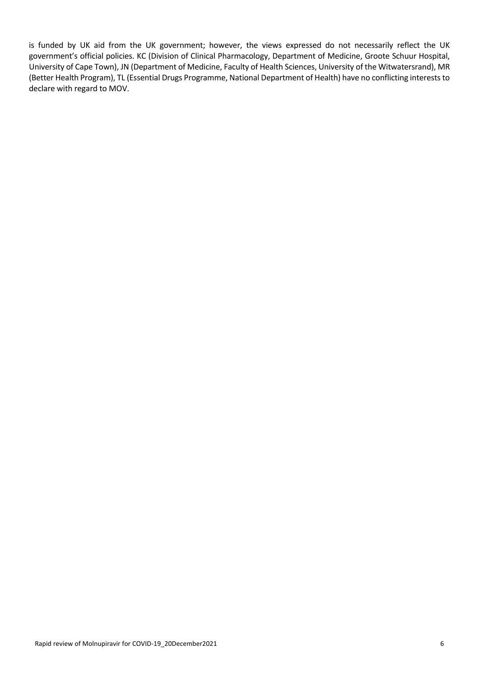is funded by UK aid from the UK government; however, the views expressed do not necessarily reflect the UK government's official policies. KC (Division of Clinical Pharmacology, Department of Medicine, Groote Schuur Hospital, University of Cape Town), JN (Department of Medicine, Faculty of Health Sciences, University of the Witwatersrand), MR (Better Health Program), TL (Essential Drugs Programme, National Department of Health) have no conflicting interests to declare with regard to MOV.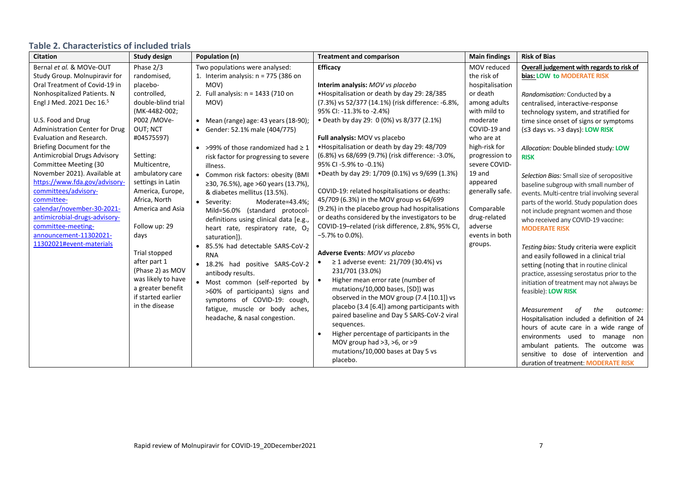# **Table 2. Characteristics of included trials**

| <b>Citation</b>                       | <b>Study design</b> | Population (n)                               | <b>Treatment and comparison</b>                       | <b>Main findings</b> | <b>Risk of Bias</b>                          |
|---------------------------------------|---------------------|----------------------------------------------|-------------------------------------------------------|----------------------|----------------------------------------------|
| Bernal et al. & MOVe-OUT              | Phase 2/3           | Two populations were analysed:               | <b>Efficacy</b>                                       | MOV reduced          | Overall judgement with regards to risk of    |
| Study Group. Molnupiravir for         | randomised,         | 1. Interim analysis: $n = 775$ (386 on       |                                                       | the risk of          | bias: LOW to MODERATE RISK                   |
| Oral Treatment of Covid-19 in         | placebo-            | MOV)                                         | Interim analysis: MOV vs placebo                      | hospitalisation      |                                              |
| Nonhospitalized Patients. N           | controlled,         | 2. Full analysis: n = 1433 (710 on           | •Hospitalisation or death by day 29: 28/385           | or death             | Randomisation: Conducted by a                |
| Engl J Med. 2021 Dec 16. <sup>5</sup> | double-blind trial  | MOV)                                         | (7.3%) vs 52/377 (14.1%) (risk difference: -6.8%,     | among adults         | centralised, interactive-response            |
|                                       | (MK-4482-002;       |                                              | 95% CI: -11.3% to -2.4%)                              | with mild to         | technology system, and stratified for        |
| U.S. Food and Drug                    | P002 /MOVe-         | • Mean (range) age: 43 years $(18-90)$ ;     | • Death by day 29: 0 (0%) vs 8/377 (2.1%)             | moderate             | time since onset of signs or symptoms        |
| <b>Administration Center for Drug</b> | OUT; NCT            | • Gender: 52.1% male (404/775)               |                                                       | COVID-19 and         | (≤3 days vs. >3 days): LOW RISK              |
| Evaluation and Research.              | #04575597)          |                                              | Full analysis: MOV vs placebo                         | who are at           |                                              |
| Briefing Document for the             |                     | • >99% of those randomized had $\geq 1$      | . Hospitalisation or death by day 29: 48/709          | high-risk for        | Allocation: Double blinded study: LOW        |
| Antimicrobial Drugs Advisory          | Setting:            | risk factor for progressing to severe        | (6.8%) vs 68/699 (9.7%) (risk difference: -3.0%,      | progression to       | <b>RISK</b>                                  |
| Committee Meeting (30                 | Multicentre,        | illness.                                     | 95% CI -5.9% to -0.1%)                                | severe COVID-        |                                              |
| November 2021). Available at          | ambulatory care     | • Common risk factors: obesity (BMI          | •Death by day 29: 1/709 (0.1%) vs 9/699 (1.3%)        | 19 and               | Selection Bias: Small size of seropositive   |
| https://www.fda.gov/advisory-         | settings in Latin   | ≥30, 76.5%), age >60 years (13.7%),          |                                                       | appeared             | baseline subgroup with small number of       |
| committees/advisory-                  | America, Europe,    | & diabetes mellitus (13.5%).                 | COVID-19: related hospitalisations or deaths:         | generally safe.      | events. Multi-centre trial involving several |
| committee-                            | Africa, North       | • Severity:<br>Moderate=43.4%;               | 45/709 (6.3%) in the MOV group vs 64/699              |                      | parts of the world. Study population does    |
| calendar/november-30-2021-            | America and Asia    | Mild=56.0% (standard protocol-               | (9.2%) in the placebo group had hospitalisations      | Comparable           | not include pregnant women and those         |
| antimicrobial-drugs-advisory-         |                     | definitions using clinical data [e.g.,       | or deaths considered by the investigators to be       | drug-related         | who received any COVID-19 vaccine:           |
| committee-meeting-                    | Follow up: 29       | heart rate, respiratory rate, O <sub>2</sub> | COVID-19-related (risk difference, 2.8%, 95% CI,      | adverse              | <b>MODERATE RISK</b>                         |
| announcement-11302021-                | days                | saturation]).                                | -5.7% to 0.0%).                                       | events in both       |                                              |
| 11302021#event-materials              |                     | 85.5% had detectable SARS-CoV-2              |                                                       | groups.              | Testing bias: Study criteria were explicit   |
|                                       | Trial stopped       | <b>RNA</b>                                   | Adverse Events: MOV vs placebo                        |                      | and easily followed in a clinical trial      |
|                                       | after part 1        | • 18.2% had positive SARS-CoV-2              | ≥ 1 adverse event: $21/709$ (30.4%) vs                |                      | setting (noting that in routine clinical     |
|                                       | (Phase 2) as MOV    | antibody results.                            | 231/701 (33.0%)                                       |                      | practice, assessing serostatus prior to the  |
|                                       | was likely to have  | · Most common (self-reported by              | Higher mean error rate (number of<br>$\bullet$        |                      | initiation of treatment may not always be    |
|                                       | a greater benefit   | >60% of participants) signs and              | mutations/10,000 bases, [SD]) was                     |                      | feasible): LOW RISK                          |
|                                       | if started earlier  | symptoms of COVID-19: cough,                 | observed in the MOV group (7.4 [10.1]) vs             |                      |                                              |
|                                       | in the disease      | fatigue, muscle or body aches,               | placebo (3.4 [6.4]) among participants with           |                      | Measurement<br>the<br>оf<br>outcome:         |
|                                       |                     | headache, & nasal congestion.                | paired baseline and Day 5 SARS-CoV-2 viral            |                      | Hospitalisation included a definition of 24  |
|                                       |                     |                                              | sequences.                                            |                      | hours of acute care in a wide range of       |
|                                       |                     |                                              | Higher percentage of participants in the<br>$\bullet$ |                      | environments used to manage non              |
|                                       |                     |                                              | MOV group had >3, >6, or >9                           |                      | ambulant patients. The outcome was           |
|                                       |                     |                                              | mutations/10,000 bases at Day 5 vs                    |                      | sensitive to dose of intervention and        |
|                                       |                     |                                              | placebo.                                              |                      | duration of treatment: MODERATE RISK         |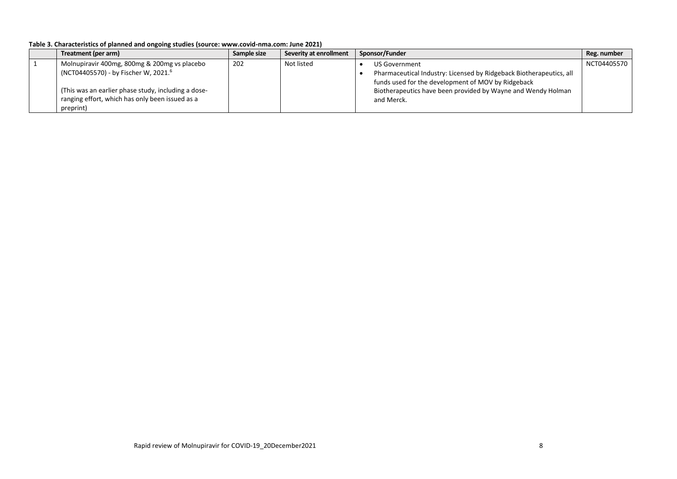| Table 3. Characteristics of planned and ongoing studies (source: www.covid-nma.com: June 2021) |  |
|------------------------------------------------------------------------------------------------|--|
|------------------------------------------------------------------------------------------------|--|

| Treatment (per arm)                                 | Sample size | Severity at enrollment | Sponsor/Funder<br>Reg. number                                       |
|-----------------------------------------------------|-------------|------------------------|---------------------------------------------------------------------|
| Molnupiravir 400mg, 800mg & 200mg vs placebo        | 202         | Not listed             | NCT04405570<br>US Government                                        |
| (NCT04405570) - by Fischer W, 2021. <sup>6</sup>    |             |                        | Pharmaceutical Industry: Licensed by Ridgeback Biotherapeutics, all |
|                                                     |             |                        | funds used for the development of MOV by Ridgeback                  |
| (This was an earlier phase study, including a dose- |             |                        | Biotherapeutics have been provided by Wayne and Wendy Holman        |
| ranging effort, which has only been issued as a     |             |                        | and Merck.                                                          |
| preprint)                                           |             |                        |                                                                     |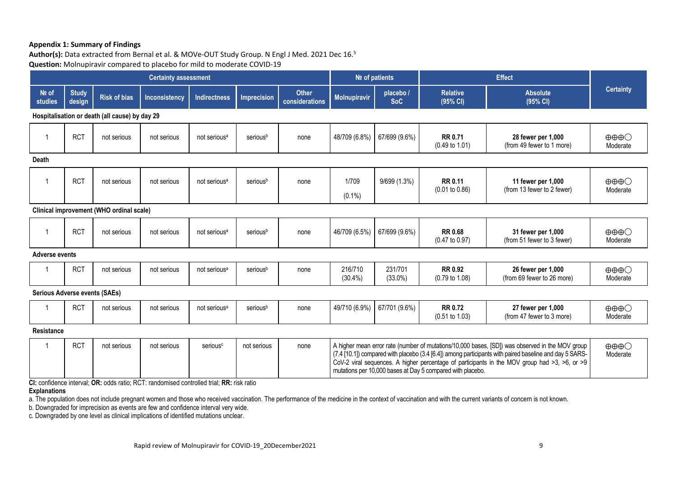#### **Appendix 1: Summary of Findings**

Author(s): Data extracted from Bernal et al. & MOVe-OUT Study Group. N Engl J Med. 2021 Dec 16.<sup>5</sup> **Question:** Molnupiravir compared to placebo for mild to moderate COVID-19

| <b>Certainty assessment</b>                    |                        |                                          |                                                                                           | Nº of patients           |                    | <b>Effect</b>                  |                       |                        |                                                            |                                                                                                                                                                                                                                                                                                                    |                                             |
|------------------------------------------------|------------------------|------------------------------------------|-------------------------------------------------------------------------------------------|--------------------------|--------------------|--------------------------------|-----------------------|------------------------|------------------------------------------------------------|--------------------------------------------------------------------------------------------------------------------------------------------------------------------------------------------------------------------------------------------------------------------------------------------------------------------|---------------------------------------------|
| Nº of<br>studies                               | <b>Study</b><br>design | <b>Risk of bias</b>                      | <b>Inconsistency</b>                                                                      | <b>Indirectness</b>      | <b>Imprecision</b> | <b>Other</b><br>considerations | <b>Molnupiravir</b>   | placebo/<br><b>SoC</b> | <b>Relative</b><br>(95% CI)                                | <b>Absolute</b><br>(95% CI)                                                                                                                                                                                                                                                                                        | <b>Certainty</b>                            |
| Hospitalisation or death (all cause) by day 29 |                        |                                          |                                                                                           |                          |                    |                                |                       |                        |                                                            |                                                                                                                                                                                                                                                                                                                    |                                             |
|                                                | <b>RCT</b>             | not serious                              | not serious                                                                               | not serious <sup>a</sup> | seriousb           | none                           | 48/709 (6.8%)         | 67/699 (9.6%)          | <b>RR 0.71</b><br>$(0.49 \text{ to } 1.01)$                | 28 fewer per 1,000<br>(from 49 fewer to 1 more)                                                                                                                                                                                                                                                                    | $\oplus \oplus \oplus \bigcirc$<br>Moderate |
| <b>Death</b>                                   |                        |                                          |                                                                                           |                          |                    |                                |                       |                        |                                                            |                                                                                                                                                                                                                                                                                                                    |                                             |
|                                                | <b>RCT</b>             | not serious                              | not serious                                                                               | not serious <sup>a</sup> | seriousb           | none                           | 1/709                 | 9/699 (1.3%)           | <b>RR 0.11</b>                                             | 11 fewer per 1,000                                                                                                                                                                                                                                                                                                 | $\oplus \oplus \oplus \bigcirc$             |
|                                                |                        |                                          |                                                                                           |                          |                    |                                | $(0.1\%)$             |                        | (0.01 to 0.86)                                             | (from 13 fewer to 2 fewer)                                                                                                                                                                                                                                                                                         | Moderate                                    |
|                                                |                        | Clinical improvement (WHO ordinal scale) |                                                                                           |                          |                    |                                |                       |                        |                                                            |                                                                                                                                                                                                                                                                                                                    |                                             |
|                                                | <b>RCT</b>             | not serious                              | not serious                                                                               | not serious <sup>a</sup> | seriousb           | none                           | 46/709 (6.5%)         | 67/699 (9.6%)          | <b>RR 0.68</b><br>$(0.47 \text{ to } 0.97)$                | 31 fewer per 1,000<br>(from 51 fewer to 3 fewer)                                                                                                                                                                                                                                                                   | $\oplus \oplus \oplus \bigcirc$<br>Moderate |
| <b>Adverse events</b>                          |                        |                                          |                                                                                           |                          |                    |                                |                       |                        |                                                            |                                                                                                                                                                                                                                                                                                                    |                                             |
|                                                | <b>RCT</b>             | not serious                              | not serious                                                                               | not serious <sup>a</sup> | seriousb           | none                           | 216/710<br>$(30.4\%)$ | 231/701<br>$(33.0\%)$  | <b>RR 0.92</b><br>$(0.79 \text{ to } 1.08)$                | 26 fewer per 1,000<br>(from 69 fewer to 26 more)                                                                                                                                                                                                                                                                   | $\oplus \oplus \oplus \bigcirc$<br>Moderate |
| <b>Serious Adverse events (SAEs)</b>           |                        |                                          |                                                                                           |                          |                    |                                |                       |                        |                                                            |                                                                                                                                                                                                                                                                                                                    |                                             |
|                                                | <b>RCT</b>             | not serious                              | not serious                                                                               | not serious <sup>a</sup> | seriousb           | none                           | 49/710 (6.9%)         | 67/701 (9.6%)          | <b>RR 0.72</b><br>$(0.51 \text{ to } 1.03)$                | 27 fewer per 1,000<br>(from 47 fewer to 3 more)                                                                                                                                                                                                                                                                    | $\oplus \oplus \oplus \bigcirc$<br>Moderate |
| <b>Resistance</b>                              |                        |                                          |                                                                                           |                          |                    |                                |                       |                        |                                                            |                                                                                                                                                                                                                                                                                                                    |                                             |
|                                                | <b>RCT</b>             | not serious                              | not serious                                                                               | serious <sup>c</sup>     | not serious        | none                           |                       |                        | mutations per 10,000 bases at Day 5 compared with placebo. | A higher mean error rate (number of mutations/10,000 bases, [SD]) was observed in the MOV group<br>(7.4 [10.1]) compared with placebo (3.4 [6.4]) among participants with paired baseline and day 5 SARS-<br>CoV-2 viral sequences. A higher percentage of participants in the MOV group had $>3$ , $>6$ , or $>9$ | $\oplus \oplus \oplus \bigcirc$<br>Moderate |
| <b>Explanations</b>                            |                        |                                          | CI: confidence interval; OR: odds ratio; RCT: randomised controlled trial; RR: risk ratio |                          |                    |                                |                       |                        |                                                            |                                                                                                                                                                                                                                                                                                                    |                                             |

a. The population does not include pregnant women and those who received vaccination. The performance of the medicine in the context of vaccination and with the current variants of concern is not known.

b. Downgraded for imprecision as events are few and confidence interval very wide.

c. Downgraded by one level as clinical implications of identified mutations unclear.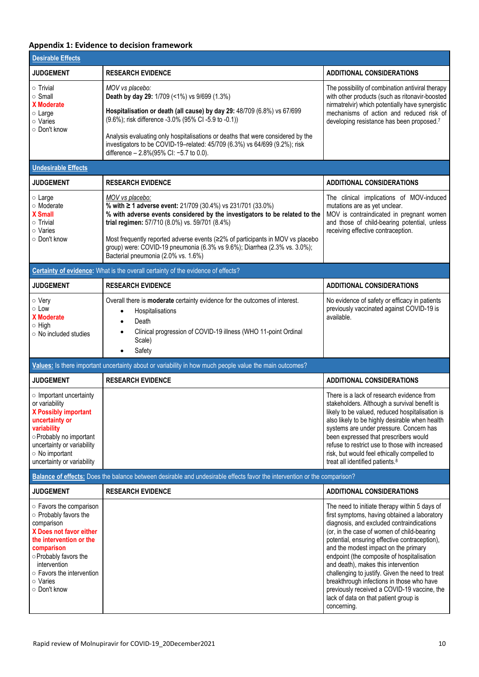# **Appendix 1: Evidence to decision framework**

| <b>Desirable Effects</b>                                                                                                                                                                                                             |                                                                                                                                                                                                                                                                                                                                                                                                                      |                                                                                                                                                                                                                                                                                                                                                                                                                                                                                                                                                                               |  |
|--------------------------------------------------------------------------------------------------------------------------------------------------------------------------------------------------------------------------------------|----------------------------------------------------------------------------------------------------------------------------------------------------------------------------------------------------------------------------------------------------------------------------------------------------------------------------------------------------------------------------------------------------------------------|-------------------------------------------------------------------------------------------------------------------------------------------------------------------------------------------------------------------------------------------------------------------------------------------------------------------------------------------------------------------------------------------------------------------------------------------------------------------------------------------------------------------------------------------------------------------------------|--|
| <b>JUDGEMENT</b>                                                                                                                                                                                                                     | <b>RESEARCH EVIDENCE</b>                                                                                                                                                                                                                                                                                                                                                                                             | <b>ADDITIONAL CONSIDERATIONS</b>                                                                                                                                                                                                                                                                                                                                                                                                                                                                                                                                              |  |
| $\circ$ Trivial<br>$\circ$ Small<br><b>X</b> Moderate<br>$\circ$ Large<br>$\circ$ Varies<br>○ Don't know                                                                                                                             | MOV vs placebo:<br>Death by day 29: 1/709 (<1%) vs 9/699 (1.3%)<br>Hospitalisation or death (all cause) by day 29: 48/709 (6.8%) vs 67/699<br>(9.6%); risk difference -3.0% (95% CI -5.9 to -0.1))<br>Analysis evaluating only hospitalisations or deaths that were considered by the<br>investigators to be COVID-19-related: 45/709 (6.3%) vs 64/699 (9.2%); risk<br>difference - 2.8%(95% CI: -5.7 to 0.0).       | The possibility of combination antiviral therapy<br>with other products (such as ritonavir-boosted<br>nirmatrelvir) which potentially have synergistic<br>mechanisms of action and reduced risk of<br>developing resistance has been proposed.7                                                                                                                                                                                                                                                                                                                               |  |
| <b>Undesirable Effects</b>                                                                                                                                                                                                           |                                                                                                                                                                                                                                                                                                                                                                                                                      |                                                                                                                                                                                                                                                                                                                                                                                                                                                                                                                                                                               |  |
| <b>JUDGEMENT</b>                                                                                                                                                                                                                     | <b>RESEARCH EVIDENCE</b>                                                                                                                                                                                                                                                                                                                                                                                             | <b>ADDITIONAL CONSIDERATIONS</b>                                                                                                                                                                                                                                                                                                                                                                                                                                                                                                                                              |  |
| o Large<br>○ Moderate<br><b>X</b> Small<br>$\circ$ Trivial<br>○ Varies<br>○ Don't know                                                                                                                                               | MOV vs placebo:<br>% with ≥ 1 adverse event: 21/709 (30.4%) vs 231/701 (33.0%)<br>% with adverse events considered by the investigators to be related to the<br>trial regimen: 57/710 (8.0%) vs. 59/701 (8.4%)<br>Most frequently reported adverse events (≥2% of participants in MOV vs placebo<br>group) were: COVID-19 pneumonia (6.3% vs 9.6%); Diarrhea (2.3% vs. 3.0%);<br>Bacterial pneumonia (2.0% vs. 1.6%) | The clinical implications of MOV-induced<br>mutations are as yet unclear.<br>MOV is contraindicated in pregnant women<br>and those of child-bearing potential, unless<br>receiving effective contraception.                                                                                                                                                                                                                                                                                                                                                                   |  |
|                                                                                                                                                                                                                                      | Certainty of evidence: What is the overall certainty of the evidence of effects?                                                                                                                                                                                                                                                                                                                                     |                                                                                                                                                                                                                                                                                                                                                                                                                                                                                                                                                                               |  |
| <b>JUDGEMENT</b>                                                                                                                                                                                                                     | <b>RESEARCH EVIDENCE</b>                                                                                                                                                                                                                                                                                                                                                                                             | <b>ADDITIONAL CONSIDERATIONS</b>                                                                                                                                                                                                                                                                                                                                                                                                                                                                                                                                              |  |
| ○ Very<br>$\circ$ Low<br><b>X</b> Moderate<br>$\circ$ High<br>$\circ$ No included studies                                                                                                                                            | Overall there is <b>moderate</b> certainty evidence for the outcomes of interest.<br>Hospitalisations<br>$\bullet$<br>Death<br>$\bullet$<br>Clinical progression of COVID-19 illness (WHO 11-point Ordinal<br>$\bullet$<br>Scale)<br>Safety<br>$\bullet$                                                                                                                                                             | No evidence of safety or efficacy in patients<br>previously vaccinated against COVID-19 is<br>available.                                                                                                                                                                                                                                                                                                                                                                                                                                                                      |  |
|                                                                                                                                                                                                                                      | Values: Is there important uncertainty about or variability in how much people value the main outcomes?                                                                                                                                                                                                                                                                                                              |                                                                                                                                                                                                                                                                                                                                                                                                                                                                                                                                                                               |  |
| <b>JUDGEMENT</b>                                                                                                                                                                                                                     | <b>RESEARCH EVIDENCE</b>                                                                                                                                                                                                                                                                                                                                                                                             | <b>ADDITIONAL CONSIDERATIONS</b>                                                                                                                                                                                                                                                                                                                                                                                                                                                                                                                                              |  |
| o Important uncertainty<br>or variability<br>X Possibly important<br>uncertainty or<br>variability<br>O Probably no important<br>uncertainty or variability<br>$\circ$ No important<br>uncertainty or variability                    |                                                                                                                                                                                                                                                                                                                                                                                                                      | There is a lack of research evidence from<br>stakeholders. Although a survival benefit is<br>likely to be valued, reduced hospitalisation is<br>also likely to be highly desirable when health<br>systems are under pressure. Concern has<br>been expressed that prescribers would<br>refuse to restrict use to those with increased<br>risk, but would feel ethically compelled to<br>treat all identified patients. <sup>8</sup>                                                                                                                                            |  |
|                                                                                                                                                                                                                                      | Balance of effects: Does the balance between desirable and undesirable effects favor the intervention or the comparison?                                                                                                                                                                                                                                                                                             |                                                                                                                                                                                                                                                                                                                                                                                                                                                                                                                                                                               |  |
| <b>JUDGEMENT</b>                                                                                                                                                                                                                     | <b>RESEARCH EVIDENCE</b>                                                                                                                                                                                                                                                                                                                                                                                             | <b>ADDITIONAL CONSIDERATIONS</b>                                                                                                                                                                                                                                                                                                                                                                                                                                                                                                                                              |  |
| ○ Favors the comparison<br>○ Probably favors the<br>comparison<br>X Does not favor either<br>the intervention or the<br>comparison<br>○ Probably favors the<br>intervention<br>○ Favors the intervention<br>○ Varies<br>○ Don't know |                                                                                                                                                                                                                                                                                                                                                                                                                      | The need to initiate therapy within 5 days of<br>first symptoms, having obtained a laboratory<br>diagnosis, and excluded contraindications<br>(or, in the case of women of child-bearing<br>potential, ensuring effective contraception),<br>and the modest impact on the primary<br>endpoint (the composite of hospitalisation<br>and death), makes this intervention<br>challenging to justify. Given the need to treat<br>breakthrough infections in those who have<br>previously received a COVID-19 vaccine, the<br>lack of data on that patient group is<br>concerning. |  |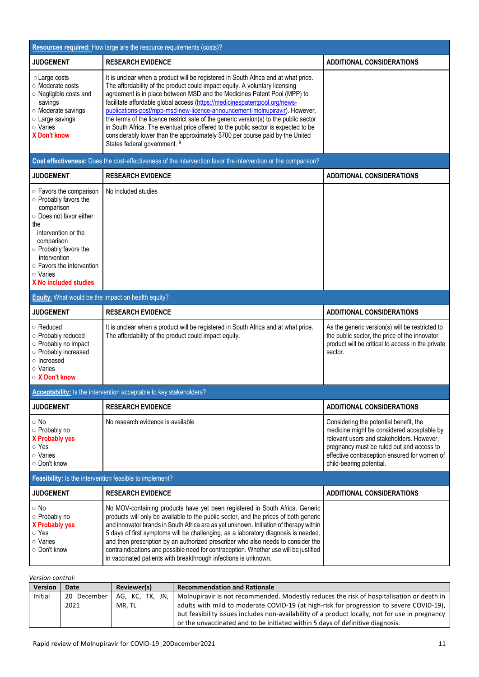| Resources required: How large are the resource requirements (costs)?                                                                                                                                                                                                |                                                                                                                                                                                                                                                                                                                                                                                                                                                                                                                                                                                                                                                                                                           |                                                                                                                                                                                                                                                            |  |  |  |
|---------------------------------------------------------------------------------------------------------------------------------------------------------------------------------------------------------------------------------------------------------------------|-----------------------------------------------------------------------------------------------------------------------------------------------------------------------------------------------------------------------------------------------------------------------------------------------------------------------------------------------------------------------------------------------------------------------------------------------------------------------------------------------------------------------------------------------------------------------------------------------------------------------------------------------------------------------------------------------------------|------------------------------------------------------------------------------------------------------------------------------------------------------------------------------------------------------------------------------------------------------------|--|--|--|
| <b>JUDGEMENT</b>                                                                                                                                                                                                                                                    | <b>RESEARCH EVIDENCE</b>                                                                                                                                                                                                                                                                                                                                                                                                                                                                                                                                                                                                                                                                                  | <b>ADDITIONAL CONSIDERATIONS</b>                                                                                                                                                                                                                           |  |  |  |
| ○ Large costs<br>○ Moderate costs<br>O Negligible costs and<br>savings<br>○ Moderate savings<br>○ Large savings<br>$\circ$ Varies<br><b>X Don't know</b>                                                                                                            | It is unclear when a product will be registered in South Africa and at what price.<br>The affordability of the product could impact equity. A voluntary licensing<br>agreement is in place between MSD and the Medicines Patent Pool (MPP) to<br>facilitate affordable global access (https://medicinespatentpool.org/news-<br>publications-post/mpp-msd-new-licence-announcement-molnupiravir). However,<br>the terms of the licence restrict sale of the generic version(s) to the public sector<br>in South Africa. The eventual price offered to the public sector is expected to be<br>considerably lower than the approximately \$700 per course paid by the United<br>States federal government. 9 |                                                                                                                                                                                                                                                            |  |  |  |
|                                                                                                                                                                                                                                                                     | Cost effectiveness: Does the cost-effectiveness of the intervention favor the intervention or the comparison?                                                                                                                                                                                                                                                                                                                                                                                                                                                                                                                                                                                             |                                                                                                                                                                                                                                                            |  |  |  |
| <b>JUDGEMENT</b>                                                                                                                                                                                                                                                    | <b>RESEARCH EVIDENCE</b>                                                                                                                                                                                                                                                                                                                                                                                                                                                                                                                                                                                                                                                                                  | <b>ADDITIONAL CONSIDERATIONS</b>                                                                                                                                                                                                                           |  |  |  |
| $\circ$ Favors the comparison<br>o Probably favors the<br>comparison<br>○ Does not favor either<br>the<br>intervention or the<br>comparison<br>○ Probably favors the<br>intervention<br>$\circ$ Favors the intervention<br>○ Varies<br><b>X No included studies</b> | No included studies                                                                                                                                                                                                                                                                                                                                                                                                                                                                                                                                                                                                                                                                                       |                                                                                                                                                                                                                                                            |  |  |  |
| <b>Equity:</b> What would be the impact on health equity?                                                                                                                                                                                                           |                                                                                                                                                                                                                                                                                                                                                                                                                                                                                                                                                                                                                                                                                                           |                                                                                                                                                                                                                                                            |  |  |  |
| <b>JUDGEMENT</b>                                                                                                                                                                                                                                                    | <b>RESEARCH EVIDENCE</b>                                                                                                                                                                                                                                                                                                                                                                                                                                                                                                                                                                                                                                                                                  | <b>ADDITIONAL CONSIDERATIONS</b>                                                                                                                                                                                                                           |  |  |  |
| ○ Reduced<br>o Probably reduced<br>o Probably no impact<br>o Probably increased<br>o Increased<br>$\circ$ Varies<br>○ X Don't know                                                                                                                                  | It is unclear when a product will be registered in South Africa and at what price.<br>The affordability of the product could impact equity.                                                                                                                                                                                                                                                                                                                                                                                                                                                                                                                                                               | As the generic version(s) will be restricted to<br>the public sector, the price of the innovator<br>product will be critical to access in the private<br>sector.                                                                                           |  |  |  |
|                                                                                                                                                                                                                                                                     | Acceptability: Is the intervention acceptable to key stakeholders?                                                                                                                                                                                                                                                                                                                                                                                                                                                                                                                                                                                                                                        |                                                                                                                                                                                                                                                            |  |  |  |
| <b>JUDGEMENT</b>                                                                                                                                                                                                                                                    | <b>RESEARCH EVIDENCE</b>                                                                                                                                                                                                                                                                                                                                                                                                                                                                                                                                                                                                                                                                                  | <b>ADDITIONAL CONSIDERATIONS</b>                                                                                                                                                                                                                           |  |  |  |
| $\circ$ No<br>○ Probably no<br><b>X Probably yes</b><br>○ Yes<br>o Varies<br>○ Don't know                                                                                                                                                                           | No research evidence is available                                                                                                                                                                                                                                                                                                                                                                                                                                                                                                                                                                                                                                                                         | Considering the potential benefit, the<br>medicine might be considered acceptable by<br>relevant users and stakeholders. However,<br>pregnancy must be ruled out and access to<br>effective contraception ensured for women of<br>child-bearing potential. |  |  |  |
|                                                                                                                                                                                                                                                                     | Feasibility: Is the intervention feasible to implement?                                                                                                                                                                                                                                                                                                                                                                                                                                                                                                                                                                                                                                                   |                                                                                                                                                                                                                                                            |  |  |  |
| <b>JUDGEMENT</b>                                                                                                                                                                                                                                                    | <b>RESEARCH EVIDENCE</b>                                                                                                                                                                                                                                                                                                                                                                                                                                                                                                                                                                                                                                                                                  | <b>ADDITIONAL CONSIDERATIONS</b>                                                                                                                                                                                                                           |  |  |  |
| ⊙ No<br>○ Probably no<br><b>X Probably yes</b><br>○ Yes<br>$\circ$ Varies<br>○ Don't know                                                                                                                                                                           | No MOV-containing products have yet been registered in South Africa. Generic<br>products will only be available to the public sector, and the prices of both generic<br>and innovator brands in South Africa are as yet unknown. Initiation of therapy within<br>5 days of first symptoms will be challenging, as a laboratory diagnosis is needed,<br>and then prescription by an authorized prescriber who also needs to consider the<br>contraindications and possible need for contraception. Whether use will be justified<br>in vaccinated patients with breakthrough infections is unknown.                                                                                                        |                                                                                                                                                                                                                                                            |  |  |  |

*Version control:*

| <b>Version</b> | Date        | Reviewer(s)     | <b>Recommendation and Rationale</b>                                                             |
|----------------|-------------|-----------------|-------------------------------------------------------------------------------------------------|
| Initial        | 20 December | AG. KC. TK. JN. | Molnupiravir is not recommended. Modestly reduces the risk of hospitalisation or death in       |
|                | 2021        | MR. TL          | adults with mild to moderate COVID-19 (at high-risk for progression to severe COVID-19),        |
|                |             |                 | but feasibility issues includes non-availability of a product locally, not for use in pregnancy |
|                |             |                 | or the unvaccinated and to be initiated within 5 days of definitive diagnosis.                  |